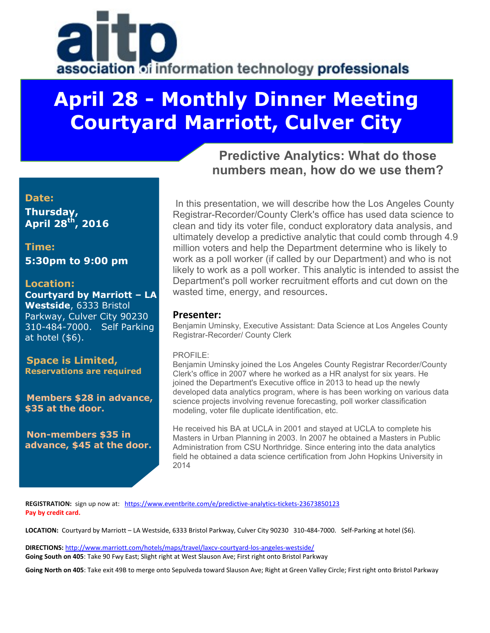# association of information technology professionals

## **April 28 - Monthly Dinner Meeting Courtyard Marriott, Culver City**

## **Predictive Analytics: What do those numbers mean, how do we use them?**

### **Date:**

**Thursday, April 28 th , 2016**

**Time: 5:30pm to 9:00 pm**

#### **Location:**

**Courtyard by Marriott – LA Westside**, 6333 Bristol Parkway, Culver City 90230 310-484-7000. Self Parking at hotel (\$6).

**Space is Limited, Reservations are required**

**Members \$28 in advance, \$35 at the door.**

**Non-members \$35 in advance, \$45 at the door.**

 In this presentation, we will describe how the Los Angeles County Registrar-Recorder/County Clerk's office has used data science to clean and tidy its voter file, conduct exploratory data analysis, and ultimately develop a predictive analytic that could comb through 4.9 million voters and help the Department determine who is likely to work as a poll worker (if called by our Department) and who is not likely to work as a poll worker. This analytic is intended to assist the Department's poll worker recruitment efforts and cut down on the wasted time, energy, and resources.

#### **Presenter:**

Benjamin Uminsky, Executive Assistant: Data Science at Los Angeles County Registrar-Recorder/ County Clerk

#### PROFILE<sup>.</sup>

Benjamin Uminsky joined the Los Angeles County Registrar Recorder/County Clerk's office in 2007 where he worked as a HR analyst for six years. He joined the Department's Executive office in 2013 to head up the newly developed data analytics program, where is has been working on various data science projects involving revenue forecasting, poll worker classification modeling, voter file duplicate identification, etc.

He received his BA at UCLA in 2001 and stayed at UCLA to complete his Masters in Urban Planning in 2003. In 2007 he obtained a Masters in Public Administration from CSU Northridge. Since entering into the data analytics field he obtained a data science certification from John Hopkins University in 2014

**REGISTRATION:** sign up now at: <https://www.eventbrite.com/e/predictive-analytics-tickets-23673850123> **Pay by credit card.** 

**LOCATION:** Courtyard by Marriott – LA Westside, 6333 Bristol Parkway, Culver City 90230 310-484-7000. Self-Parking at hotel (\$6).

**DIRECTIONS:** <http://www.marriott.com/hotels/maps/travel/laxcv-courtyard-los-angeles-westside/> **Going South on 405**: Take 90 Fwy East; Slight right at West Slauson Ave; First right onto Bristol Parkway

**Going North on 405**: Take exit 49B to merge onto Sepulveda toward Slauson Ave; Right at Green Valley Circle; First right onto Bristol Parkway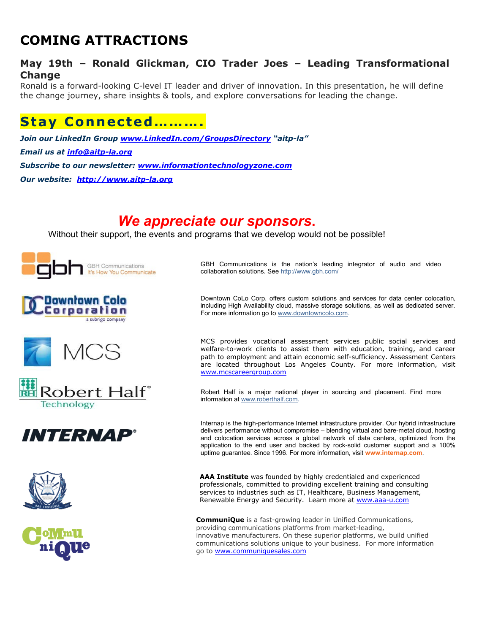## **COMING ATTRACTIONS**

#### **May 19th – Ronald Glickman, CIO Trader Joes – Leading Transformational Change**

Ronald is a forward-looking C-level IT leader and driver of innovation. In this presentation, he will define the change journey, share insights & tools, and explore conversations for leading the change.

## **Stay Connected……….**

*Join our LinkedIn Group [www.LinkedIn.com/GroupsDirectory](http://www.linkedin.com/GroupsDirectory) "aitp-la" Email us at [info@aitp-la.org](mailto:info@aitp-la.org) Subscribe to our newsletter: [www.informationtechnologyzone.com](http://www.informationtechnologyzone.com/) Our website: [http://www.aitp-la.org](http://www.aitp-la.org/)*

## *We appreciate our sponsors***.**

Without their support, the events and programs that we develop would not be possible!















GBH Communications is the nation's leading integrator of audio and video collaboration solutions. Se[e http://www.gbh.com/](http://www.gbh.com/)

Downtown CoLo Corp. offers custom solutions and services for data center colocation, including High Availability cloud, massive storage solutions, as well as dedicated server. For more information go t[o www.downtowncolo.com.](http://www.downtowncolo.com/)

MCS provides vocational assessment services public social services and welfare-to-work clients to assist them with education, training, and career path to employment and attain economic self-sufficiency. Assessment Centers are located throughout Los Angeles County. For more information, visit [www.mcscareergroup.com](http://www.mcscareergroup.com/)

Robert Half is a major national player in sourcing and placement. Find more information at [www.roberthalf.com.](http://www.roberthalf.com/)

Internap is the high-performance Internet infrastructure provider. Our hybrid infrastructure delivers performance without compromise – blending virtual and bare-metal cloud, hosting and colocation services across a global network of data centers, optimized from the application to the end user and backed by rock-solid customer support and a 100% uptime guarantee. Since 1996. For more information, visit **[www.internap.com](http://www.internap.com/)**.

**AAA Institute** was founded by highly credentialed and experienced professionals, committed to providing excellent training and consulting services to industries such as IT, Healthcare, Business Management, Renewable Energy and Security. Learn more at [www.aaa-u.com](http://www.aaa-u.com/)

**CommuniQue** is a fast-growing leader in Unified Communications, providing communications platforms from market-leading, innovative manufacturers. On these superior platforms, we build unified communications solutions unique to your business. For more information go to [www.communiquesales.com](http://app.expressemailmarketing.com/get.link?linkid=7168780&subscriberid=418966239&campaignid=1951392&linkurl=http%3a%2f%2fwww.communiquesales.com)